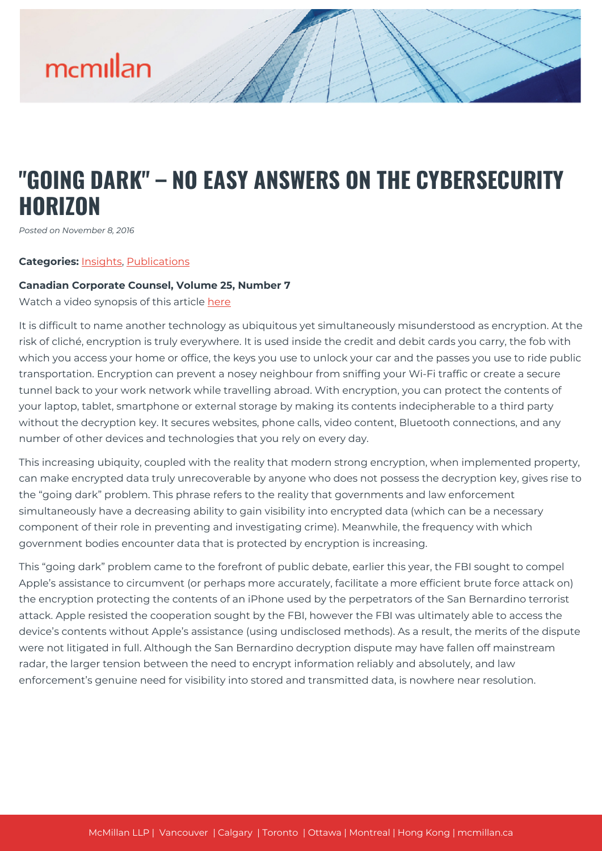### **"GOING DARK" – NO EASY ANSWERS ON THE CYBERSECURITY HORIZON**

*Posted on November 8, 2016*

#### **Categories:** [Insights,](https://mcmillan.ca/insights/) [Publications](https://mcmillan.ca/insights/publications/)

#### **Canadian Corporate Counsel, Volume 25, Number 7**

Watch a video synopsis of this article [here](https://www.youtube.com/watch?v=q9E23DOvWog)

It is difficult to name another technology as ubiquitous yet simultaneously misunderstood as encryption. At the risk of cliché, encryption is truly everywhere. It is used inside the credit and debit cards you carry, the fob with which you access your home or office, the keys you use to unlock your car and the passes you use to ride public transportation. Encryption can prevent a nosey neighbour from sniffing your Wi-Fi traffic or create a secure tunnel back to your work network while travelling abroad. With encryption, you can protect the contents of your laptop, tablet, smartphone or external storage by making its contents indecipherable to a third party without the decryption key. It secures websites, phone calls, video content, Bluetooth connections, and any number of other devices and technologies that you rely on every day.

This increasing ubiquity, coupled with the reality that modern strong encryption, when implemented property, can make encrypted data truly unrecoverable by anyone who does not possess the decryption key, gives rise to the "going dark" problem. This phrase refers to the reality that governments and law enforcement simultaneously have a decreasing ability to gain visibility into encrypted data (which can be a necessary component of their role in preventing and investigating crime). Meanwhile, the frequency with which government bodies encounter data that is protected by encryption is increasing.

This "going dark" problem came to the forefront of public debate, earlier this year, the FBI sought to compel Apple's assistance to circumvent (or perhaps more accurately, facilitate a more efficient brute force attack on) the encryption protecting the contents of an iPhone used by the perpetrators of the San Bernardino terrorist attack. Apple resisted the cooperation sought by the FBI, however the FBI was ultimately able to access the device's contents without Apple's assistance (using undisclosed methods). As a result, the merits of the dispute were not litigated in full. Although the San Bernardino decryption dispute may have fallen off mainstream radar, the larger tension between the need to encrypt information reliably and absolutely, and law enforcement's genuine need for visibility into stored and transmitted data, is nowhere near resolution.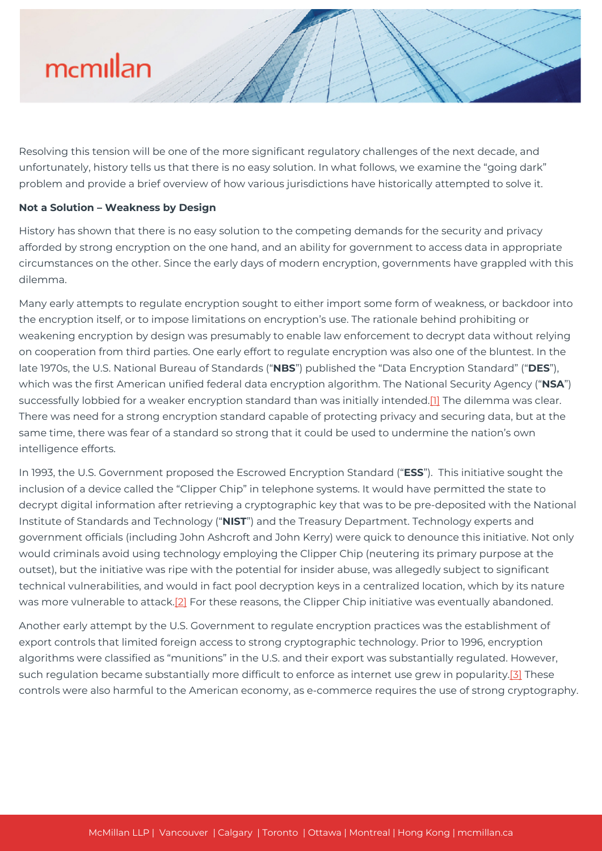Resolving this tension will be one of the more significant regulatory challenges of the next decade, and unfortunately, history tells us that there is no easy solution. In what follows, we examine the "going dark" problem and provide a brief overview of how various jurisdictions have historically attempted to solve it.

#### **Not a Solution – Weakness by Design**

History has shown that there is no easy solution to the competing demands for the security and privacy afforded by strong encryption on the one hand, and an ability for government to access data in appropriate circumstances on the other. Since the early days of modern encryption, governments have grappled with this dilemma.

Many early attempts to regulate encryption sought to either import some form of weakness, or backdoor into the encryption itself, or to impose limitations on encryption's use. The rationale behind prohibiting or weakening encryption by design was presumably to enable law enforcement to decrypt data without relying on cooperation from third parties. One early effort to regulate encryption was also one of the bluntest. In the late 1970s, the U.S. National Bureau of Standards ("**NBS**") published the "Data Encryption Standard" ("**DES**"), which was the first American unified federal data encryption algorithm. The National Security Agency ("**NSA**") successfully lobbied for a weaker encryption standard than was initially intended.<sup>[1]</sup> The dilemma was clear. There was need for a strong encryption standard capable of protecting privacy and securing data, but at the same time, there was fear of a standard so strong that it could be used to undermine the nation's own intelligence efforts.

In 1993, the U.S. Government proposed the Escrowed Encryption Standard ("**ESS**"). This initiative sought the inclusion of a device called the "Clipper Chip" in telephone systems. It would have permitted the state to decrypt digital information after retrieving a cryptographic key that was to be pre-deposited with the National Institute of Standards and Technology ("**NIST**") and the Treasury Department. Technology experts and government officials (including John Ashcroft and John Kerry) were quick to denounce this initiative. Not only would criminals avoid using technology employing the Clipper Chip (neutering its primary purpose at the outset), but the initiative was ripe with the potential for insider abuse, was allegedly subject to significant technical vulnerabilities, and would in fact pool decryption keys in a centralized location, which by its nature was more vulnerable to attack.<sup>[2]</sup> For these reasons, the Clipper Chip initiative was eventually abandoned.

Another early attempt by the U.S. Government to regulate encryption practices was the establishment of export controls that limited foreign access to strong cryptographic technology. Prior to 1996, encryption algorithms were classified as "munitions" in the U.S. and their export was substantially regulated. However, such regulation became substantially more difficult to enforce as internet use grew in popularity[.\[3\]](#page--1-0) These controls were also harmful to the American economy, as e-commerce requires the use of strong cryptography.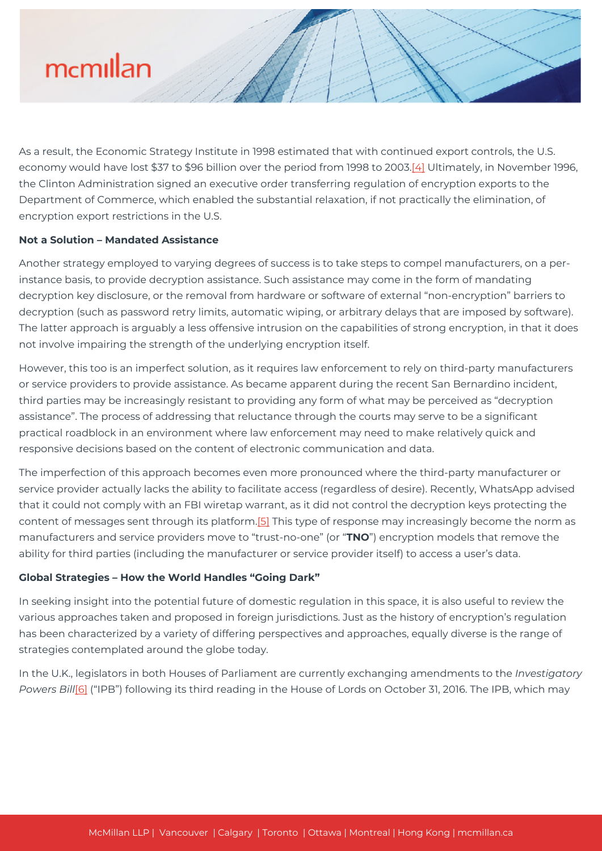As a result, the Economic Strategy Institute in 1998 estimated that with continued export controls, the U.S. economy would have lost \$37 to \$96 billion over the period from 1998 to 2003[.\[4\]](#page--1-0) Ultimately, in November 1996, the Clinton Administration signed an executive order transferring regulation of encryption exports to the Department of Commerce, which enabled the substantial relaxation, if not practically the elimination, of encryption export restrictions in the U.S.

#### **Not a Solution – Mandated Assistance**

Another strategy employed to varying degrees of success is to take steps to compel manufacturers, on a perinstance basis, to provide decryption assistance. Such assistance may come in the form of mandating decryption key disclosure, or the removal from hardware or software of external "non-encryption" barriers to decryption (such as password retry limits, automatic wiping, or arbitrary delays that are imposed by software). The latter approach is arguably a less offensive intrusion on the capabilities of strong encryption, in that it does not involve impairing the strength of the underlying encryption itself.

However, this too is an imperfect solution, as it requires law enforcement to rely on third-party manufacturers or service providers to provide assistance. As became apparent during the recent San Bernardino incident, third parties may be increasingly resistant to providing any form of what may be perceived as "decryption assistance". The process of addressing that reluctance through the courts may serve to be a significant practical roadblock in an environment where law enforcement may need to make relatively quick and responsive decisions based on the content of electronic communication and data.

The imperfection of this approach becomes even more pronounced where the third-party manufacturer or service provider actually lacks the ability to facilitate access (regardless of desire). Recently, WhatsApp advised that it could not comply with an FBI wiretap warrant, as it did not control the decryption keys protecting the content of messages sent through its platform.[\[5\]](#page--1-0) This type of response may increasingly become the norm as manufacturers and service providers move to "trust-no-one" (or "**TNO**") encryption models that remove the ability for third parties (including the manufacturer or service provider itself) to access a user's data.

#### **Global Strategies – How the World Handles "Going Dark"**

In seeking insight into the potential future of domestic regulation in this space, it is also useful to review the various approaches taken and proposed in foreign jurisdictions. Just as the history of encryption's regulation has been characterized by a variety of differing perspectives and approaches, equally diverse is the range of strategies contemplated around the globe today.

In the U.K., legislators in both Houses of Parliament are currently exchanging amendments to the *Investigatory Powers Bill*[\[6\]](#page--1-0) ("IPB") following its third reading in the House of Lords on October 31, 2016. The IPB, which may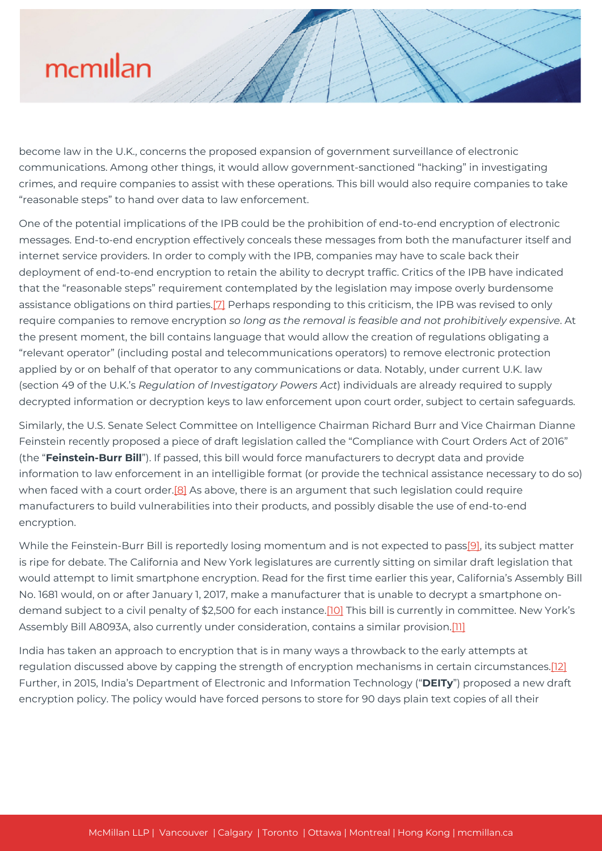become law in the U.K., concerns the proposed expansion of government surveillance of electronic communications. Among other things, it would allow government-sanctioned "hacking" in investigating crimes, and require companies to assist with these operations. This bill would also require companies to take "reasonable steps" to hand over data to law enforcement.

One of the potential implications of the IPB could be the prohibition of end-to-end encryption of electronic messages. End-to-end encryption effectively conceals these messages from both the manufacturer itself and internet service providers. In order to comply with the IPB, companies may have to scale back their deployment of end-to-end encryption to retain the ability to decrypt traffic. Critics of the IPB have indicated that the "reasonable steps" requirement contemplated by the legislation may impose overly burdensome assistance obligations on third parties.[\[7\]](#page--1-0) Perhaps responding to this criticism, the IPB was revised to only require companies to remove encryption *so long as the removal is feasible and not prohibitively expensive*. At the present moment, the bill contains language that would allow the creation of regulations obligating a "relevant operator" (including postal and telecommunications operators) to remove electronic protection applied by or on behalf of that operator to any communications or data. Notably, under current U.K. law (section 49 of the U.K.'s *Regulation of Investigatory Powers Act*) individuals are already required to supply decrypted information or decryption keys to law enforcement upon court order, subject to certain safeguards.

Similarly, the U.S. Senate Select Committee on Intelligence Chairman Richard Burr and Vice Chairman Dianne Feinstein recently proposed a piece of draft legislation called the "Compliance with Court Orders Act of 2016" (the "**Feinstein-Burr Bill**"). If passed, this bill would force manufacturers to decrypt data and provide information to law enforcement in an intelligible format (or provide the technical assistance necessary to do so) when faced with a court order.<sup>[8]</sup> As above, there is an argument that such legislation could require manufacturers to build vulnerabilities into their products, and possibly disable the use of end-to-end encryption.

While the Feinstein-Burr Bill is reportedly losing momentum and is not expected to pas[s\[9\],](#page--1-0) its subject matter is ripe for debate. The California and New York legislatures are currently sitting on similar draft legislation that would attempt to limit smartphone encryption. Read for the first time earlier this year, California's Assembly Bill No. 1681 would, on or after January 1, 2017, make a manufacturer that is unable to decrypt a smartphone ondemand subject to a civil penalty of \$2,500 for each instance.<sup>[10]</sup> This bill is currently in committee. New York's Assembly Bill A8093A, also currently under consideration, contains a similar provision.[\[11\]](#page--1-0)

India has taken an approach to encryption that is in many ways a throwback to the early attempts at regulation discussed above by capping the strength of encryption mechanisms in certain circumstances.[\[12\]](#page--1-0) Further, in 2015, India's Department of Electronic and Information Technology ("**DEITy**") proposed a new draft encryption policy. The policy would have forced persons to store for 90 days plain text copies of all their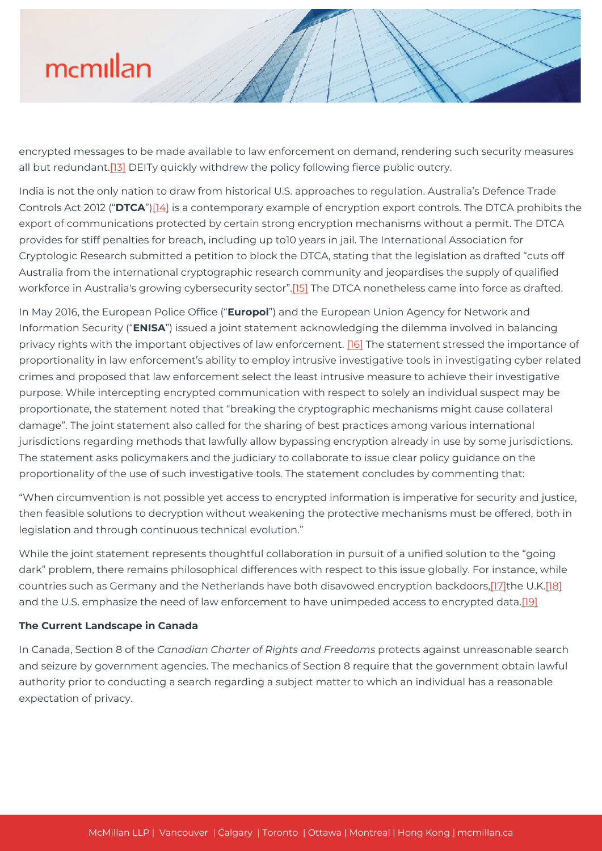encrypted messages to be made available to law enforcement on demand, rendering such security measures all but redundant.[\[13\]](#page--1-0) DEITy quickly withdrew the policy following fierce public outcry.

India is not the only nation to draw from historical U.S. approaches to regulation. Australia's Defence Trade Controls Act 2012 ("**DTCA**")[\[14\]](#page--1-0) is a contemporary example of encryption export controls. The DTCA prohibits the export of communications protected by certain strong encryption mechanisms without a permit. The DTCA provides for stiff penalties for breach, including up to10 years in jail. The International Association for Cryptologic Research submitted a petition to block the DTCA, stating that the legislation as drafted "cuts off Australia from the international cryptographic research community and jeopardises the supply of qualified workforce in Australia's growing cybersecurity sector"[.\[15\]](#page--1-0) The DTCA nonetheless came into force as drafted.

In May 2016, the European Police Office ("**Europol**") and the European Union Agency for Network and Information Security ("**ENISA**") issued a joint statement acknowledging the dilemma involved in balancing privacy rights with the important objectives of law enforcement. [\[16\]](#page--1-0) The statement stressed the importance of proportionality in law enforcement's ability to employ intrusive investigative tools in investigating cyber related crimes and proposed that law enforcement select the least intrusive measure to achieve their investigative purpose. While intercepting encrypted communication with respect to solely an individual suspect may be proportionate, the statement noted that "breaking the cryptographic mechanisms might cause collateral damage". The joint statement also called for the sharing of best practices among various international jurisdictions regarding methods that lawfully allow bypassing encryption already in use by some jurisdictions. The statement asks policymakers and the judiciary to collaborate to issue clear policy guidance on the proportionality of the use of such investigative tools. The statement concludes by commenting that:

"When circumvention is not possible yet access to encrypted information is imperative for security and justice, then feasible solutions to decryption without weakening the protective mechanisms must be offered, both in legislation and through continuous technical evolution."

While the joint statement represents thoughtful collaboration in pursuit of a unified solution to the "going dark" problem, there remains philosophical differences with respect to this issue globally. For instance, while countries such as Germany and the Netherlands have both disavowed encryption backdoors[,\[17\]t](#page--1-0)he U.K.[\[18\]](#page--1-0) and the U.S. emphasize the need of law enforcement to have unimpeded access to encrypted data.[\[19\]](#page--1-0)

#### **The Current Landscape in Canada**

In Canada, Section 8 of the *Canadian Charter of Rights and Freedoms* protects against unreasonable search and seizure by government agencies. The mechanics of Section 8 require that the government obtain lawful authority prior to conducting a search regarding a subject matter to which an individual has a reasonable expectation of privacy.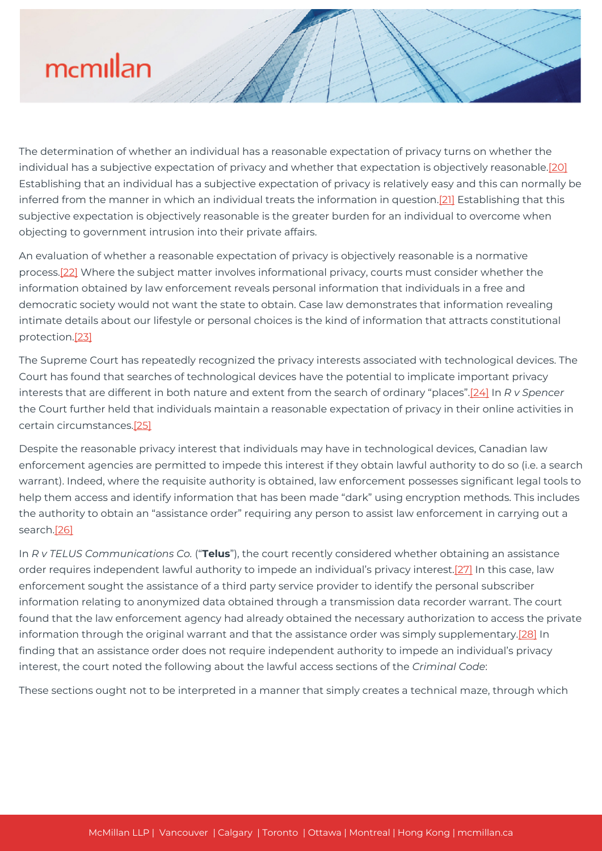The determination of whether an individual has a reasonable expectation of privacy turns on whether the individual has a subjective expectation of privacy and whether that expectation is objectively reasonable.[\[20\]](#page--1-0) Establishing that an individual has a subjective expectation of privacy is relatively easy and this can normally be inferred from the manner in which an individual treats the information in question[.\[21\]](#page--1-0) Establishing that this subjective expectation is objectively reasonable is the greater burden for an individual to overcome when objecting to government intrusion into their private affairs.

An evaluation of whether a reasonable expectation of privacy is objectively reasonable is a normative process[.\[22\]](#page--1-0) Where the subject matter involves informational privacy, courts must consider whether the information obtained by law enforcement reveals personal information that individuals in a free and democratic society would not want the state to obtain. Case law demonstrates that information revealing intimate details about our lifestyle or personal choices is the kind of information that attracts constitutional protection[.\[23\]](#page--1-0)

The Supreme Court has repeatedly recognized the privacy interests associated with technological devices. The Court has found that searches of technological devices have the potential to implicate important privacy interests that are different in both nature and extent from the search of ordinary "places".[\[24\]](#page--1-0) In *R v Spencer* the Court further held that individuals maintain a reasonable expectation of privacy in their online activities in certain circumstances[.\[25\]](#page--1-0)

Despite the reasonable privacy interest that individuals may have in technological devices, Canadian law enforcement agencies are permitted to impede this interest if they obtain lawful authority to do so (i.e. a search warrant). Indeed, where the requisite authority is obtained, law enforcement possesses significant legal tools to help them access and identify information that has been made "dark" using encryption methods. This includes the authority to obtain an "assistance order" requiring any person to assist law enforcement in carrying out a search[.\[26\]](#page--1-0)

In *R v TELUS Communications Co.* ("**Telus**"), the court recently considered whether obtaining an assistance order requires independent lawful authority to impede an individual's privacy interest[.\[27\]](#page--1-0) In this case, law enforcement sought the assistance of a third party service provider to identify the personal subscriber information relating to anonymized data obtained through a transmission data recorder warrant. The court found that the law enforcement agency had already obtained the necessary authorization to access the private information through the original warrant and that the assistance order was simply supplementary.[\[28\]](#page--1-0) In finding that an assistance order does not require independent authority to impede an individual's privacy interest, the court noted the following about the lawful access sections of the *Criminal Code*:

These sections ought not to be interpreted in a manner that simply creates a technical maze, through which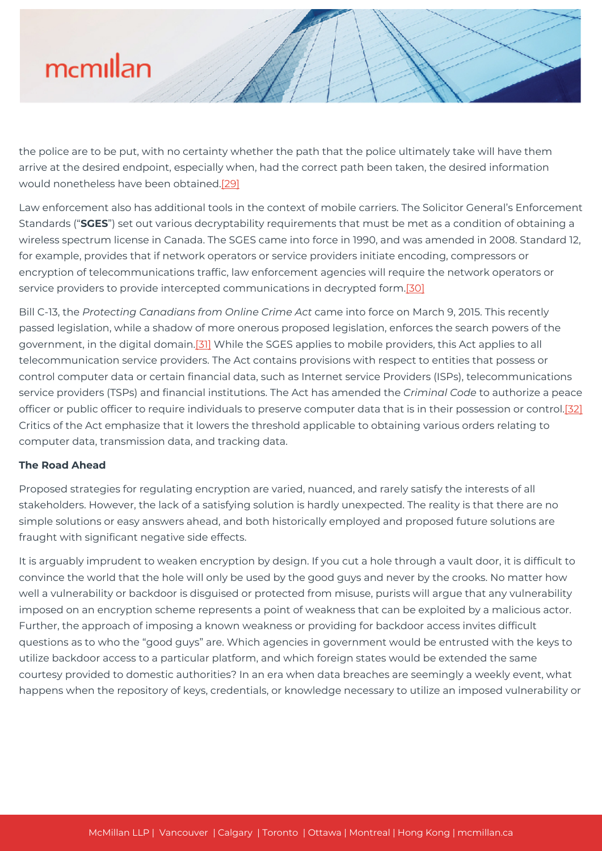the police are to be put, with no certainty whether the path that the police ultimately take will have them arrive at the desired endpoint, especially when, had the correct path been taken, the desired information would nonetheless have been obtained.[\[29\]](#page--1-0)

Law enforcement also has additional tools in the context of mobile carriers. The Solicitor General's Enforcement Standards ("**SGES**") set out various decryptability requirements that must be met as a condition of obtaining a wireless spectrum license in Canada. The SGES came into force in 1990, and was amended in 2008. Standard 12, for example, provides that if network operators or service providers initiate encoding, compressors or encryption of telecommunications traffic, law enforcement agencies will require the network operators or service providers to provide intercepted communications in decrypted form[.\[30\]](#page--1-0)

Bill C-13, the *Protecting Canadians from Online Crime Act* came into force on March 9, 2015. This recently passed legislation, while a shadow of more onerous proposed legislation, enforces the search powers of the government, in the digital domain.<sup>[31]</sup> While the SGES applies to mobile providers, this Act applies to all telecommunication service providers. The Act contains provisions with respect to entities that possess or control computer data or certain financial data, such as Internet service Providers (ISPs), telecommunications service providers (TSPs) and financial institutions. The Act has amended the *Criminal Code* to authorize a peace officer or public officer to require individuals to preserve computer data that is in their possession or control.[\[32\]](#page--1-0) Critics of the Act emphasize that it lowers the threshold applicable to obtaining various orders relating to computer data, transmission data, and tracking data.

### **The Road Ahead**

Proposed strategies for regulating encryption are varied, nuanced, and rarely satisfy the interests of all stakeholders. However, the lack of a satisfying solution is hardly unexpected. The reality is that there are no simple solutions or easy answers ahead, and both historically employed and proposed future solutions are fraught with significant negative side effects.

It is arguably imprudent to weaken encryption by design. If you cut a hole through a vault door, it is difficult to convince the world that the hole will only be used by the good guys and never by the crooks. No matter how well a vulnerability or backdoor is disguised or protected from misuse, purists will argue that any vulnerability imposed on an encryption scheme represents a point of weakness that can be exploited by a malicious actor. Further, the approach of imposing a known weakness or providing for backdoor access invites difficult questions as to who the "good guys" are. Which agencies in government would be entrusted with the keys to utilize backdoor access to a particular platform, and which foreign states would be extended the same courtesy provided to domestic authorities? In an era when data breaches are seemingly a weekly event, what happens when the repository of keys, credentials, or knowledge necessary to utilize an imposed vulnerability or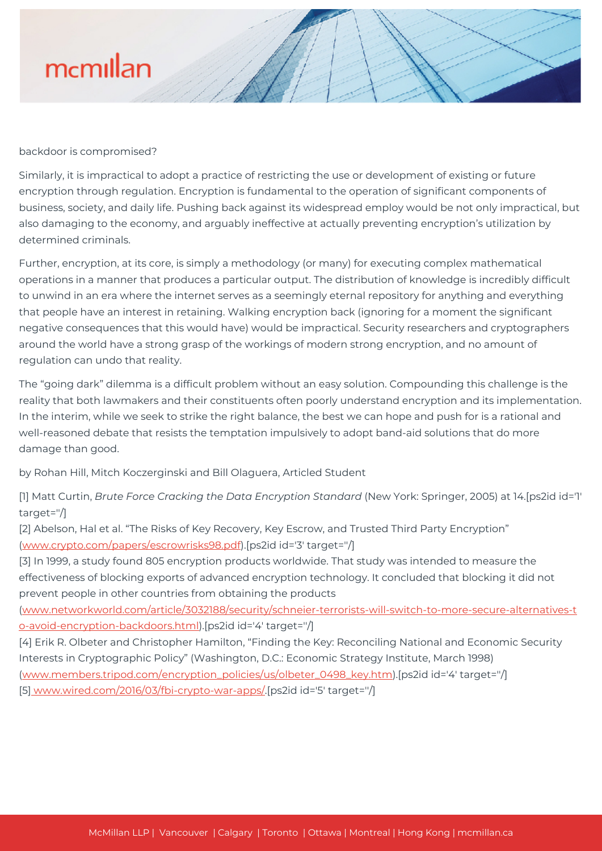backdoor is compromised?

Similarly, it is impractical to adopt a practice of restricting the use or development of existing or future encryption through regulation. Encryption is fundamental to the operation of significant components of business, society, and daily life. Pushing back against its widespread employ would be not only impractical, but also damaging to the economy, and arguably ineffective at actually preventing encryption's utilization by determined criminals.

Further, encryption, at its core, is simply a methodology (or many) for executing complex mathematical operations in a manner that produces a particular output. The distribution of knowledge is incredibly difficult to unwind in an era where the internet serves as a seemingly eternal repository for anything and everything that people have an interest in retaining. Walking encryption back (ignoring for a moment the significant negative consequences that this would have) would be impractical. Security researchers and cryptographers around the world have a strong grasp of the workings of modern strong encryption, and no amount of regulation can undo that reality.

The "going dark" dilemma is a difficult problem without an easy solution. Compounding this challenge is the reality that both lawmakers and their constituents often poorly understand encryption and its implementation. In the interim, while we seek to strike the right balance, the best we can hope and push for is a rational and well-reasoned debate that resists the temptation impulsively to adopt band-aid solutions that do more damage than good.

by Rohan Hill, Mitch Koczerginski and Bill Olaguera, Articled Student

[1] Matt Curtin, *Brute Force Cracking the Data Encryption Standard* (New York: Springer, 2005) at 14.[ps2id id='1' target=''/]

[2] Abelson, Hal et al. "The Risks of Key Recovery, Key Escrow, and Trusted Third Party Encryption" [\(www.crypto.com/papers/escrowrisks98.pdf](https://mcmillan.ca/www.crypto.com/papers/escrowrisks98.pdf)).[ps2id id='3' target=''/]

[3] In 1999, a study found 805 encryption products worldwide. That study was intended to measure the effectiveness of blocking exports of advanced encryption technology. It concluded that blocking it did not prevent people in other countries from obtaining the products

[\(www.networkworld.com/article/3032188/security/schneier-terrorists-will-switch-to-more-secure-alternatives-t](http://www.networkworld.com/article/3032188/security/schneier-terrorists-will-switch-to-more-secure-alternatives-to-avoid-encryption-backdoors.html) [o-avoid-encryption-backdoors.html\)](http://www.networkworld.com/article/3032188/security/schneier-terrorists-will-switch-to-more-secure-alternatives-to-avoid-encryption-backdoors.html).[ps2id id='4' target=''/]

[4] Erik R. Olbeter and Christopher Hamilton, "Finding the Key: Reconciling National and Economic Security Interests in Cryptographic Policy" (Washington, D.C.: Economic Strategy Institute, March 1998) [\(www.members.tripod.com/encryption\\_policies/us/olbeter\\_0498\\_key.htm](http://www.members.tripod.com/encryption_policies/us/olbeter_0498_key.htm)).[ps2id id='4' target=''/] [5] [www.wired.com/2016/03/fbi-crypto-war-apps/](http://www.wired.com/2016/03/fbi-crypto-war-apps/).[ps2id id='5' target=''/]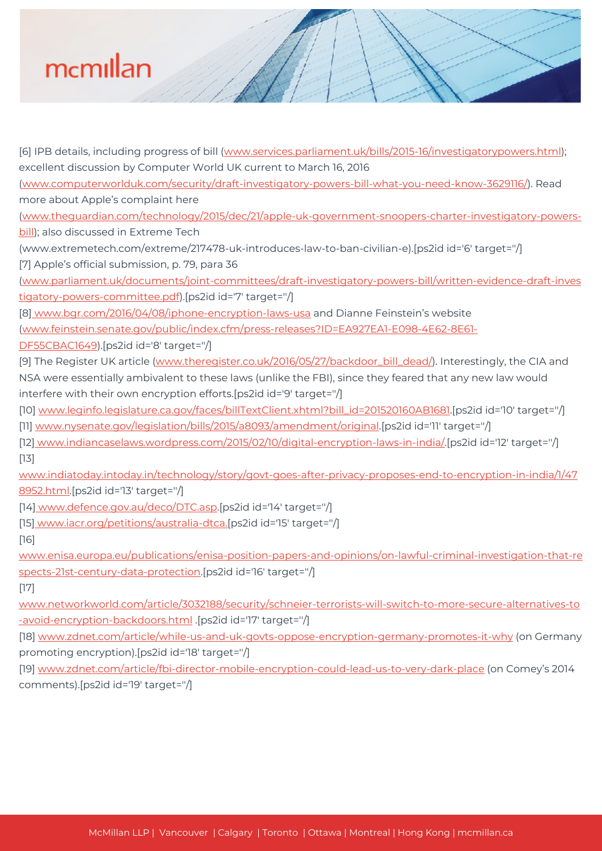[6] IPB details, including progress of bill ([www.services.parliament.uk/bills/2015-16/investigatorypowers.html](http://www.wired.com/2016/03/fbi-crypto-war-apps/)); excellent discussion by Computer World UK current to March 16, 2016 [\(www.computerworlduk.com/security/draft-investigatory-powers-bill-what-you-need-know-3629116/\)](http://www.computerworlduk.com/security/draft-investigatory-powers-bill-what-you-need-know-3629116/). Read more about Apple's complaint here [\(www.theguardian.com/technology/2015/dec/21/apple-uk-government-snoopers-charter-investigatory-powers](http://www.theguardian.com/technology/2015/dec/21/apple-uk-government-snoopers-charter-investigatory-powers-bill)[bill\)](http://www.theguardian.com/technology/2015/dec/21/apple-uk-government-snoopers-charter-investigatory-powers-bill); also discussed in Extreme Tech (www.extremetech.com/extreme/217478-uk-introduces-law-to-ban-civilian-e).[ps2id id='6' target=''/] [7] Apple's official submission, p. 79, para 36 [\(www.parliament.uk/documents/joint-committees/draft-investigatory-powers-bill/written-evidence-draft-inves](http://www.parliament.uk/documents/joint-committees/draft-investigatory-powers-bill/written-evidence-draft-investigatory-powers-committee.pdf) [tigatory-powers-committee.pdf\)](http://www.parliament.uk/documents/joint-committees/draft-investigatory-powers-bill/written-evidence-draft-investigatory-powers-committee.pdf).[ps2id id='7' target=''/] [8[\] www.bgr.com/2016/04/08/iphone-encryption-laws-usa](http://www.bgr.com/2016/04/08/iphone-encryption-laws-usa) and Dianne Feinstein's website [\(www.feinstein.senate.gov/public/index.cfm/press-releases?ID=EA927EA1-E098-4E62-8E61-](http://www.feinstein.senate.gov/public/index.cfm/press-releases?ID=EA927EA1-E098-4E62-8E61-DF55CBAC1649) [DF55CBAC1649](http://www.feinstein.senate.gov/public/index.cfm/press-releases?ID=EA927EA1-E098-4E62-8E61-DF55CBAC1649)).[ps2id id='8' target=''/] [9] The Register UK article [\(www.theregister.co.uk/2016/05/27/backdoor\\_bill\\_dead/](http://www.theregister.co.uk/2016/05/27/backdoor_bill_dead/)). Interestingly, the CIA and NSA were essentially ambivalent to these laws (unlike the FBI), since they feared that any new law would interfere with their own encryption efforts.[ps2id id='9' target=''/] [10] [www.leginfo.legislature.ca.gov/faces/billTextClient.xhtml?bill\\_id=201520160AB1681](https://www.leginfo.legislature.ca.gov/faces.billCompareClient.xhtml?bill_id=201520160AB1681).[ps2id id='10' target=''/] [11] [www.nysenate.gov/legislation/bills/2015/a8093/amendment/original](http://www.nysenate.gov/legislation/bills/2015/a8093/amendment/original).[ps2id id='11' target=''/] [12[\] www.indiancaselaws.wordpress.com/2015/02/10/digital-encryption-laws-in-india/.](http://www.indiancaselaws.wordpress.com/2015/02/10/digital-encryption-laws-in-india/)[ps2id id='12' target=''/] [13] [www.indiatoday.intoday.in/technology/story/govt-goes-after-privacy-proposes-end-to-encryption-in-india/1/47](http://www.indiatoday.intoday.in/technology/story/govt-goes-after-privacy-proposes-end-to-encryption-in-india/1/478952.html) [8952.html.](http://www.indiatoday.intoday.in/technology/story/govt-goes-after-privacy-proposes-end-to-encryption-in-india/1/478952.html)[ps2id id='13' target=''/] [14[\] www.defence.gov.au/deco/DTC.asp.](http://www.defence.gov.au/deco/DTC.asp)[ps2id id='14' target=''/] [15[\] www.iacr.org/petitions/australia-dtca.](http://www.iacr.org/petitions/australia-dtca)[ps2id id='15' target="/] [16] [www.enisa.europa.eu/publications/enisa-position-papers-and-opinions/on-lawful-criminal-investigation-that-re](http://www.enisa.europa.eu/publications/enisa-position-papers-and-opinions/on-lawful-criminal-investigation-that-respects-21st-century-data-protection) [spects-21st-century-data-protection](http://www.enisa.europa.eu/publications/enisa-position-papers-and-opinions/on-lawful-criminal-investigation-that-respects-21st-century-data-protection).[ps2id id='16' target=''/] [17] [www.networkworld.com/article/3032188/security/schneier-terrorists-will-switch-to-more-secure-alternatives-to](http://www.networkworld.com/article/3032188/security/schneier-terrorists-will-switch-to-more-secure-alternatives-to-avoid-encryption-backdoors.html) [-avoid-encryption-backdoors.html](http://www.networkworld.com/article/3032188/security/schneier-terrorists-will-switch-to-more-secure-alternatives-to-avoid-encryption-backdoors.html) .[ps2id id='17' target=''/] [18] [www.zdnet.com/article/while-us-and-uk-govts-oppose-encryption-germany-promotes-it-why](http://www.zdnet.com/article/while-us-and-uk-govts-oppose-encryption-germany-promotes-it-why) (on Germany promoting encryption).[ps2id id='18' target=''/] [19] [www.zdnet.com/article/fbi-director-mobile-encryption-could-lead-us-to-very-dark-place](http://www.zdnet.com/article/fbi-director-mobile-encryption-could-lead-us-to-very-dark-place) (on Comey's 2014

comments).[ps2id id='19' target=''/]